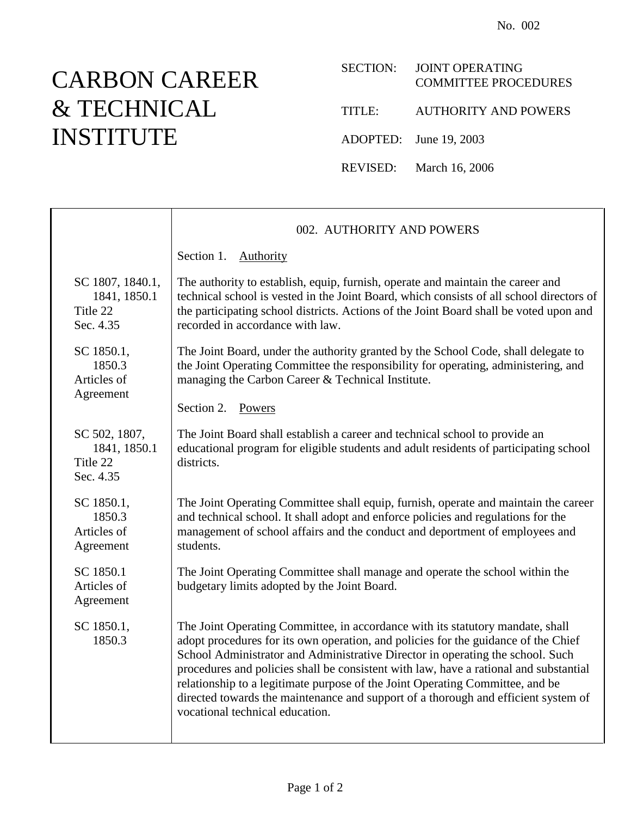## CARBON CAREER & TECHNICAL INSTITUTE

## SECTION: JOINT OPERATING COMMITTEE PROCEDURES TITLE: AUTHORITY AND POWERS ADOPTED: June 19, 2003 REVISED: March 16, 2006

002. AUTHORITY AND POWERS Section 1. Authority SC 1807, 1840.1, 1841, 1850.1 Title 22 Sec. 4.35 The authority to establish, equip, furnish, operate and maintain the career and technical school is vested in the Joint Board, which consists of all school directors of the participating school districts. Actions of the Joint Board shall be voted upon and recorded in accordance with law. SC 1850.1, 1850.3 Articles of Agreement The Joint Board, under the authority granted by the School Code, shall delegate to the Joint Operating Committee the responsibility for operating, administering, and managing the Carbon Career & Technical Institute. Section 2. Powers SC 502, 1807, 1841, 1850.1 Title 22 Sec. 4.35 The Joint Board shall establish a career and technical school to provide an educational program for eligible students and adult residents of participating school districts. SC 1850.1, 1850.3 Articles of Agreement The Joint Operating Committee shall equip, furnish, operate and maintain the career and technical school. It shall adopt and enforce policies and regulations for the management of school affairs and the conduct and deportment of employees and students. SC 1850.1 Articles of Agreement The Joint Operating Committee shall manage and operate the school within the budgetary limits adopted by the Joint Board. SC 1850.1, 1850.3 The Joint Operating Committee, in accordance with its statutory mandate, shall adopt procedures for its own operation, and policies for the guidance of the Chief School Administrator and Administrative Director in operating the school. Such procedures and policies shall be consistent with law, have a rational and substantial relationship to a legitimate purpose of the Joint Operating Committee, and be directed towards the maintenance and support of a thorough and efficient system of vocational technical education.